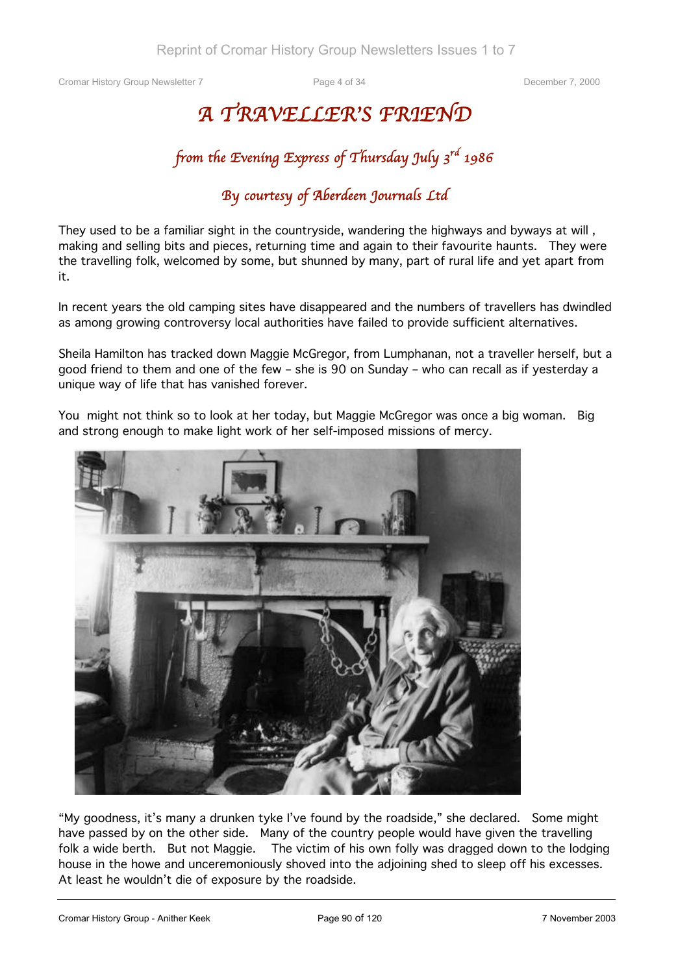## *A TRAVELLER'S FRIEND*

## *from the Evening Express of Thursday July 3rd 1986*

## *By courtesy of Aberdeen Journals Ltd*

They used to be a familiar sight in the countryside, wandering the highways and byways at will, making and selling bits and pieces, returning time and again to their favourite haunts. They were the travelling folk, welcomed by some, but shunned by many, part of rural life and yet apart from it.

In recent years the old camping sites have disappeared and the numbers of travellers has dwindled as among growing controversy local authorities have failed to provide sufficient alternatives.

Sheila Hamilton has tracked down Maggie McGregor, from Lumphanan, not a traveller herself, but a good friend to them and one of the few – she is 90 on Sunday – who can recall as if yesterday a unique way of life that has vanished forever.

You might not think so to look at her today, but Maggie McGregor was once a big woman. Big and strong enough to make light work of her self-imposed missions of mercy.



"My goodness, it's many a drunken tyke I've found by the roadside," she declared. Some might have passed by on the other side. Many of the country people would have given the travelling folk a wide berth. But not Maggie. The victim of his own folly was dragged down to the lodging house in the howe and unceremoniously shoved into the adjoining shed to sleep off his excesses. At least he wouldn't die of exposure by the roadside.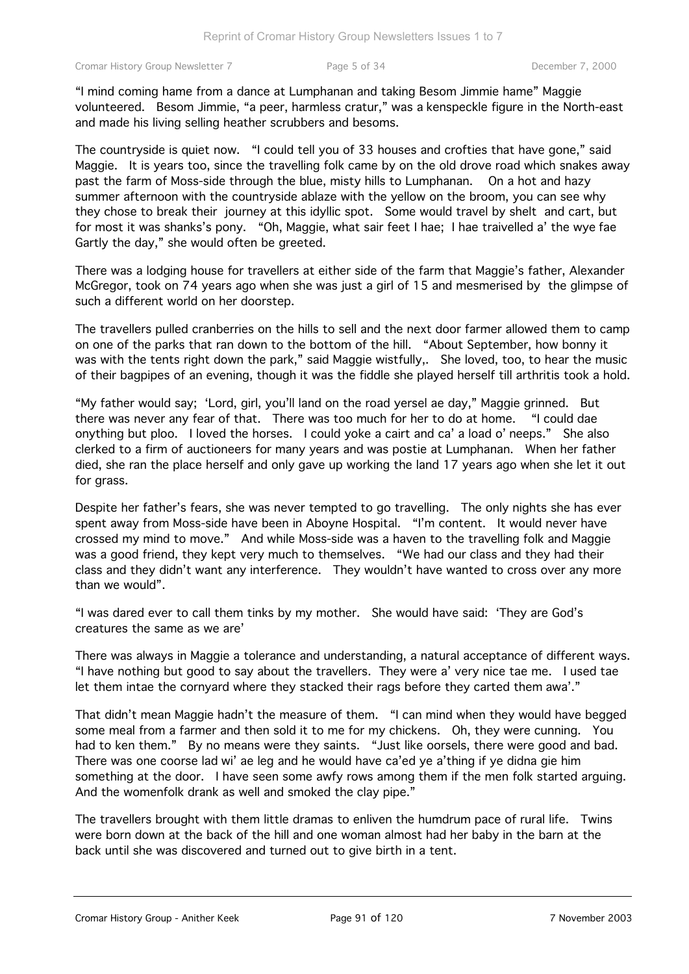"I mind coming hame from a dance at Lumphanan and taking Besom Jimmie hame" Maggie volunteered. Besom Jimmie, "a peer, harmless cratur," was a kenspeckle figure in the North-east and made his living selling heather scrubbers and besoms.

The countryside is quiet now. "I could tell you of 33 houses and crofties that have gone," said Maggie. It is years too, since the travelling folk came by on the old drove road which snakes away past the farm of Moss-side through the blue, misty hills to Lumphanan. On a hot and hazy summer afternoon with the countryside ablaze with the yellow on the broom, you can see why they chose to break their journey at this idyllic spot. Some would travel by shelt and cart, but for most it was shanks's pony. "Oh, Maggie, what sair feet I hae; I hae traivelled a' the wye fae Gartly the day," she would often be greeted.

There was a lodging house for travellers at either side of the farm that Maggie's father, Alexander McGregor, took on 74 years ago when she was just a girl of 15 and mesmerised by the glimpse of such a different world on her doorstep.

The travellers pulled cranberries on the hills to sell and the next door farmer allowed them to camp on one of the parks that ran down to the bottom of the hill. "About September, how bonny it was with the tents right down the park," said Maggie wistfully,. She loved, too, to hear the music of their bagpipes of an evening, though it was the fiddle she played herself till arthritis took a hold.

"My father would say; 'Lord, girl, you'll land on the road yersel ae day," Maggie grinned. But there was never any fear of that. There was too much for her to do at home. "I could dae onything but ploo. I loved the horses. I could yoke a cairt and ca' a load o' neeps." She also clerked to a firm of auctioneers for many years and was postie at Lumphanan. When her father died, she ran the place herself and only gave up working the land 17 years ago when she let it out for grass.

Despite her father's fears, she was never tempted to go travelling. The only nights she has ever spent away from Moss-side have been in Aboyne Hospital. "I'm content. It would never have crossed my mind to move." And while Moss-side was a haven to the travelling folk and Maggie was a good friend, they kept very much to themselves. "We had our class and they had their class and they didn't want any interference. They wouldn't have wanted to cross over any more than we would".

"I was dared ever to call them tinks by my mother. She would have said: 'They are God's creatures the same as we are'

There was always in Maggie a tolerance and understanding, a natural acceptance of different ways. "I have nothing but good to say about the travellers. They were a' very nice tae me. I used tae let them intae the cornyard where they stacked their rags before they carted them awa'."

That didn't mean Maggie hadn't the measure of them. "I can mind when they would have begged some meal from a farmer and then sold it to me for my chickens. Oh, they were cunning. You had to ken them." By no means were they saints. "Just like oorsels, there were good and bad. There was one coorse lad wi' ae leg and he would have ca'ed ye a'thing if ye didna gie him something at the door. I have seen some awfy rows among them if the men folk started arguing. And the womenfolk drank as well and smoked the clay pipe."

The travellers brought with them little dramas to enliven the humdrum pace of rural life. Twins were born down at the back of the hill and one woman almost had her baby in the barn at the back until she was discovered and turned out to give birth in a tent.

Cromar History Group - Anither Keek Page 91 of 120 7 November 2003